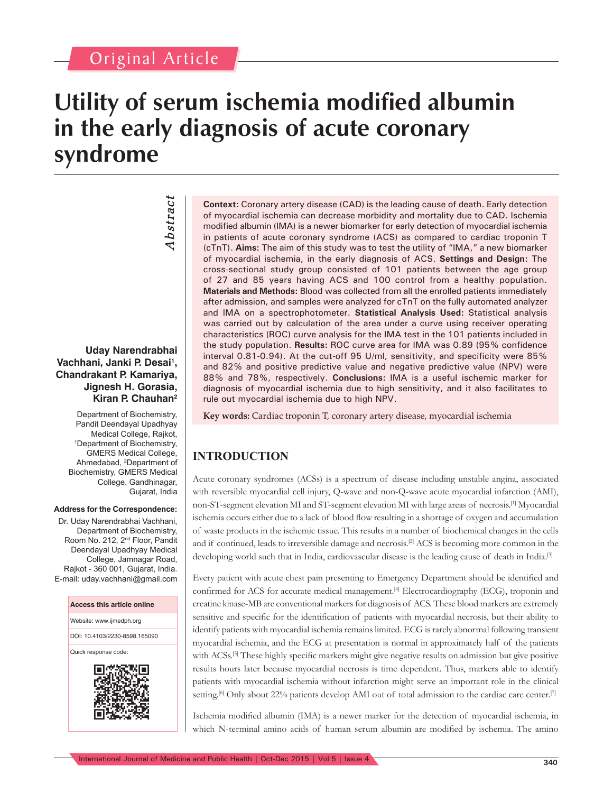## Original Article

# **Utility of serum ischemia modified albumin in the early diagnosis of acute coronary syndrome**

*Abstract Abstract*

#### **Uday Narendrabhai Vachhani, Janki P. Desai1 , Chandrakant P. Kamariya, Jignesh H. Gorasia, Kiran P. Chauhan2**

Department of Biochemistry, Pandit Deendayal Upadhyay Medical College, Rajkot, 1 Department of Biochemistry, GMERS Medical College, Ahmedabad, <sup>2</sup>Department of Biochemistry, GMERS Medical College, Gandhinagar, Gujarat, India

#### **Address for the Correspondence:**

Dr. Uday Narendrabhai Vachhani, Department of Biochemistry, Room No. 212, 2<sup>nd</sup> Floor, Pandit Deendayal Upadhyay Medical College, Jamnagar Road, Rajkot - 360 001, Gujarat, India. E-mail: uday.vachhani@gmail.com



**Context:** Coronary artery disease (CAD) is the leading cause of death. Early detection of myocardial ischemia can decrease morbidity and mortality due to CAD. Ischemia modified albumin (IMA) is a newer biomarker for early detection of myocardial ischemia in patients of acute coronary syndrome (ACS) as compared to cardiac troponin T (cTnT). **Aims:** The aim of this study was to test the utility of "IMA," a new biomarker of myocardial ischemia, in the early diagnosis of ACS. **Settings and Design:** The cross-sectional study group consisted of 101 patients between the age group of 27 and 85 years having ACS and 100 control from a healthy population. **Materials and Methods:** Blood was collected from all the enrolled patients immediately after admission, and samples were analyzed for cTnT on the fully automated analyzer and IMA on a spectrophotometer. **Statistical Analysis Used:** Statistical analysis was carried out by calculation of the area under a curve using receiver operating characteristics (ROC) curve analysis for the IMA test in the 101 patients included in the study population. **Results:** ROC curve area for IMA was 0.89 (95% confidence interval 0.81-0.94). At the cut-off 95 U/ml, sensitivity, and specificity were 85% and 82% and positive predictive value and negative predictive value (NPV) were 88% and 78%, respectively. **Conclusions:** IMA is a useful ischemic marker for diagnosis of myocardial ischemia due to high sensitivity, and it also facilitates to rule out myocardial ischemia due to high NPV.

**Key words:** Cardiac troponin T, coronary artery disease, myocardial ischemia

### **INTRODUCTION**

Acute coronary syndromes (ACSs) is a spectrum of disease including unstable angina, associated with reversible myocardial cell injury, Q-wave and non-Q-wave acute myocardial infarction (AMI), non-ST-segment elevation MI and ST-segment elevation MI with large areas of necrosis.[1] Myocardial ischemia occurs either due to a lack of blood flow resulting in a shortage of oxygen and accumulation of waste products in the ischemic tissue. This results in a number of biochemical changes in the cells and if continued, leads to irreversible damage and necrosis.<sup>[2]</sup> ACS is becoming more common in the developing world such that in India, cardiovascular disease is the leading cause of death in India.<sup>[3]</sup>

Every patient with acute chest pain presenting to Emergency Department should be identified and confirmed for ACS for accurate medical management.<sup>[4]</sup> Electrocardiography (ECG), troponin and creatine kinase-MB are conventional markers for diagnosis of ACS. These blood markers are extremely sensitive and specific for the identification of patients with myocardial necrosis, but their ability to identify patients with myocardial ischemia remains limited. ECG is rarely abnormal following transient myocardial ischemia, and the ECG at presentation is normal in approximately half of the patients with ACSs.<sup>[5]</sup> These highly specific markers might give negative results on admission but give positive results hours later because myocardial necrosis is time dependent. Thus, markers able to identify patients with myocardial ischemia without infarction might serve an important role in the clinical setting.<sup>[6]</sup> Only about 22% patients develop AMI out of total admission to the cardiac care center.<sup>[7]</sup>

Ischemia modified albumin (IMA) is a newer marker for the detection of myocardial ischemia, in which N-terminal amino acids of human serum albumin are modified by ischemia. The amino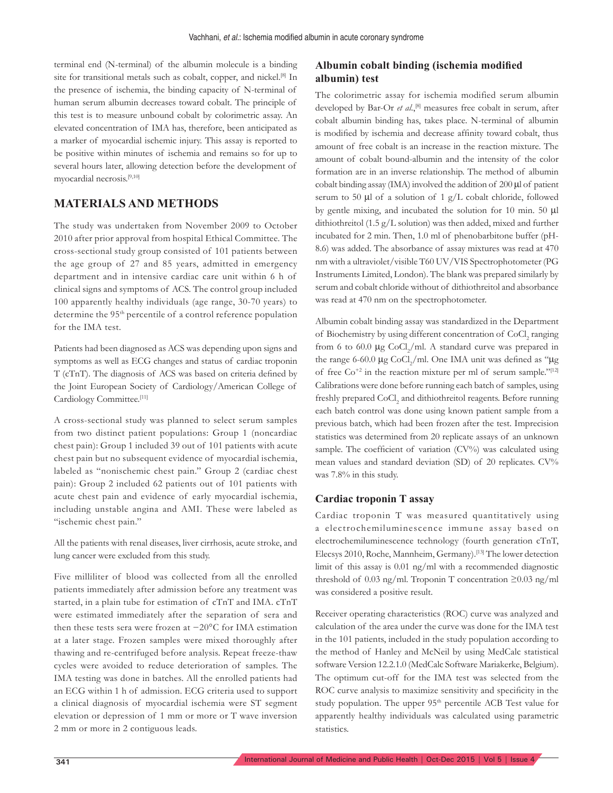terminal end (N-terminal) of the albumin molecule is a binding site for transitional metals such as cobalt, copper, and nickel.<sup>[8]</sup> In the presence of ischemia, the binding capacity of N-terminal of human serum albumin decreases toward cobalt. The principle of this test is to measure unbound cobalt by colorimetric assay. An elevated concentration of IMA has, therefore, been anticipated as a marker of myocardial ischemic injury. This assay is reported to be positive within minutes of ischemia and remains so for up to several hours later, allowing detection before the development of myocardial necrosis.[9,10]

#### **MATERIALS AND METHODS**

The study was undertaken from November 2009 to October 2010 after prior approval from hospital Ethical Committee. The cross-sectional study group consisted of 101 patients between the age group of 27 and 85 years, admitted in emergency department and in intensive cardiac care unit within 6 h of clinical signs and symptoms of ACS. The control group included 100 apparently healthy individuals (age range, 30-70 years) to determine the 95<sup>th</sup> percentile of a control reference population for the IMA test.

Patients had been diagnosed as ACS was depending upon signs and symptoms as well as ECG changes and status of cardiac troponin T (cTnT). The diagnosis of ACS was based on criteria defined by the Joint European Society of Cardiology/American College of Cardiology Committee.[11]

A cross-sectional study was planned to select serum samples from two distinct patient populations: Group 1 (noncardiac chest pain): Group 1 included 39 out of 101 patients with acute chest pain but no subsequent evidence of myocardial ischemia, labeled as "nonischemic chest pain." Group 2 (cardiac chest pain): Group 2 included 62 patients out of 101 patients with acute chest pain and evidence of early myocardial ischemia, including unstable angina and AMI. These were labeled as "ischemic chest pain."

All the patients with renal diseases, liver cirrhosis, acute stroke, and lung cancer were excluded from this study.

Five milliliter of blood was collected from all the enrolled patients immediately after admission before any treatment was started, in a plain tube for estimation of cTnT and IMA. cTnT were estimated immediately after the separation of sera and then these tests sera were frozen at −20°C for IMA estimation at a later stage. Frozen samples were mixed thoroughly after thawing and re-centrifuged before analysis. Repeat freeze-thaw cycles were avoided to reduce deterioration of samples. The IMA testing was done in batches. All the enrolled patients had an ECG within 1 h of admission. ECG criteria used to support a clinical diagnosis of myocardial ischemia were ST segment elevation or depression of 1 mm or more or T wave inversion 2 mm or more in 2 contiguous leads.

#### **Albumin cobalt binding (ischemia modified albumin) test**

The colorimetric assay for ischemia modified serum albumin developed by Bar-Or *et al.*,<sup>[8]</sup> measures free cobalt in serum, after cobalt albumin binding has, takes place. N-terminal of albumin is modified by ischemia and decrease affinity toward cobalt, thus amount of free cobalt is an increase in the reaction mixture. The amount of cobalt bound-albumin and the intensity of the color formation are in an inverse relationship. The method of albumin cobalt binding assay  $(IMA)$  involved the addition of 200  $\mu$ l of patient serum to 50 µl of a solution of 1 g/L cobalt chloride, followed by gentle mixing, and incubated the solution for 10 min. 50 µl dithiothreitol (1.5 g/L solution) was then added, mixed and further incubated for 2 min. Then, 1.0 ml of phenobarbitone buffer (pH-8.6) was added. The absorbance of assay mixtures was read at 470 nm with a ultraviolet/visible T60 UV/VIS Spectrophotometer (PG Instruments Limited, London). The blank was prepared similarly by serum and cobalt chloride without of dithiothreitol and absorbance was read at 470 nm on the spectrophotometer.

Albumin cobalt binding assay was standardized in the Department of Biochemistry by using different concentration of CoCl<sub>2</sub> ranging from 6 to 60.0  $\mu$ g CoCl<sub>2</sub>/ml. A standard curve was prepared in the range 6-60.0  $\mu$ g CoCl<sub>2</sub>/ml. One IMA unit was defined as " $\mu$ g of free  $\text{Co}^{+2}$  in the reaction mixture per ml of serum sample."<sup>[12]</sup> Calibrations were done before running each batch of samples, using freshly prepared CoCl<sub>2</sub> and dithiothreitol reagents. Before running each batch control was done using known patient sample from a previous batch, which had been frozen after the test. Imprecision statistics was determined from 20 replicate assays of an unknown sample. The coefficient of variation (CV%) was calculated using mean values and standard deviation (SD) of 20 replicates. CV% was 7.8% in this study.

#### **Cardiac troponin T assay**

Cardiac troponin T was measured quantitatively using a electrochemiluminescence immune assay based on electrochemiluminescence technology (fourth generation cTnT, Elecsys 2010, Roche, Mannheim, Germany).[13] The lower detection limit of this assay is 0.01 ng/ml with a recommended diagnostic threshold of 0.03 ng/ml. Troponin T concentration  $\geq$ 0.03 ng/ml was considered a positive result.

Receiver operating characteristics (ROC) curve was analyzed and calculation of the area under the curve was done for the IMA test in the 101 patients, included in the study population according to the method of Hanley and McNeil by using MedCalc statistical software Version 12.2.1.0 (MedCalc Software Mariakerke, Belgium). The optimum cut-off for the IMA test was selected from the ROC curve analysis to maximize sensitivity and specificity in the study population. The upper 95<sup>th</sup> percentile ACB Test value for apparently healthy individuals was calculated using parametric statistics.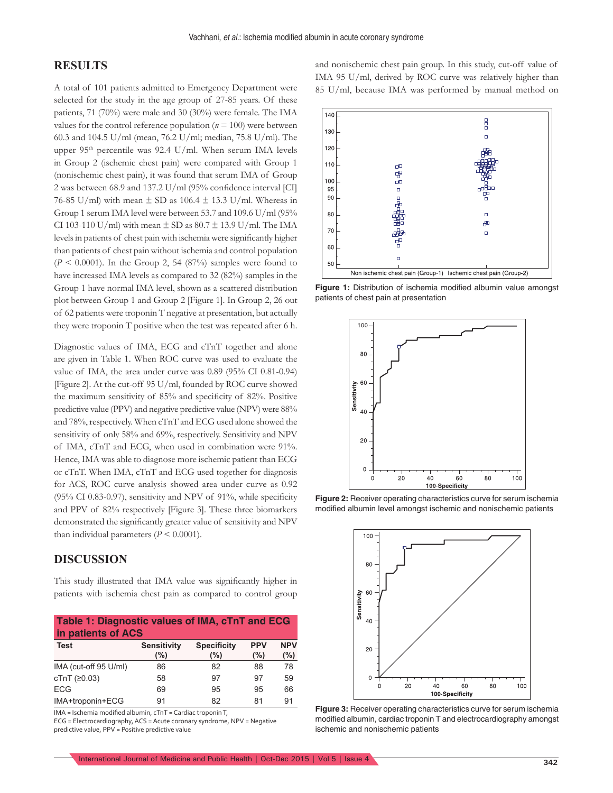#### **RESULTS**

A total of 101 patients admitted to Emergency Department were selected for the study in the age group of 27-85 years. Of these patients, 71 (70%) were male and 30 (30%) were female. The IMA values for the control reference population ( $n = 100$ ) were between 60.3 and 104.5 U/ml (mean, 76.2 U/ml; median, 75.8 U/ml). The upper  $95<sup>th</sup>$  percentile was  $92.4$  U/ml. When serum IMA levels in Group 2 (ischemic chest pain) were compared with Group 1 (nonischemic chest pain), it was found that serum IMA of Group 2 was between 68.9 and 137.2 U/ml (95% confidence interval [CI] 76-85 U/ml) with mean  $\pm$  SD as 106.4  $\pm$  13.3 U/ml. Whereas in Group 1 serum IMA level were between 53.7 and 109.6 U/ml (95% CI 103-110 U/ml) with mean  $\pm$  SD as 80.7  $\pm$  13.9 U/ml. The IMA levels in patients of chest pain with ischemia were significantly higher than patients of chest pain without ischemia and control population  $(P < 0.0001)$ . In the Group 2, 54 (87%) samples were found to have increased IMA levels as compared to 32 (82%) samples in the Group 1 have normal IMA level, shown as a scattered distribution plot between Group 1 and Group 2 [Figure 1]. In Group 2, 26 out of 62 patients were troponin T negative at presentation, but actually they were troponin T positive when the test was repeated after 6 h.

Diagnostic values of IMA, ECG and cTnT together and alone are given in Table 1. When ROC curve was used to evaluate the value of IMA, the area under curve was 0.89 (95% CI 0.81-0.94) [Figure 2]. At the cut-off 95 U/ml, founded by ROC curve showed the maximum sensitivity of 85% and specificity of 82%. Positive predictive value (PPV) and negative predictive value (NPV) were 88% and 78%, respectively. When cTnT and ECG used alone showed the sensitivity of only 58% and 69%, respectively. Sensitivity and NPV of IMA, cTnT and ECG, when used in combination were 91%. Hence, IMA was able to diagnose more ischemic patient than ECG or cTnT. When IMA, cTnT and ECG used together for diagnosis for ACS, ROC curve analysis showed area under curve as 0.92 (95% CI 0.83-0.97), sensitivity and NPV of 91%, while specificity and PPV of 82% respectively [Figure 3]. These three biomarkers demonstrated the significantly greater value of sensitivity and NPV than individual parameters  $(P < 0.0001)$ .

#### **DISCUSSION**

This study illustrated that IMA value was significantly higher in patients with ischemia chest pain as compared to control group

| Table 1: Diagnostic values of IMA, cTnT and ECG |  |  |
|-------------------------------------------------|--|--|
| in patients of ACS                              |  |  |

| Test                  | Sensitivity<br>(%) | <b>Specificity</b><br>(%) | <b>PPV</b><br>$(\%)$ | <b>NPV</b><br>(%) |
|-----------------------|--------------------|---------------------------|----------------------|-------------------|
| IMA (cut-off 95 U/ml) | 86                 | 82                        | 88                   | 78                |
| cTnT (≥0.03)          | 58                 | 97                        | 97                   | 59                |
| <b>ECG</b>            | 69                 | 95                        | 95                   | 66                |
| IMA+troponin+ECG      | 91                 | 82                        | 81                   | 91                |

IMA = Ischemia modified albumin, cTnT = Cardiac troponin T,

ECG = Electrocardiography, ACS = Acute coronary syndrome, NPV = Negative predictive value, PPV = Positive predictive value

and nonischemic chest pain group. In this study, cut-off value of IMA 95 U/ml, derived by ROC curve was relatively higher than 85 U/ml, because IMA was performed by manual method on



**Figure 1:** Distribution of ischemia modified albumin value amongst patients of chest pain at presentation



**Figure 2:** Receiver operating characteristics curve for serum ischemia modified albumin level amongst ischemic and nonischemic patients



**Figure 3:** Receiver operating characteristics curve for serum ischemia modified albumin, cardiac troponin T and electrocardiography amongst ischemic and nonischemic patients